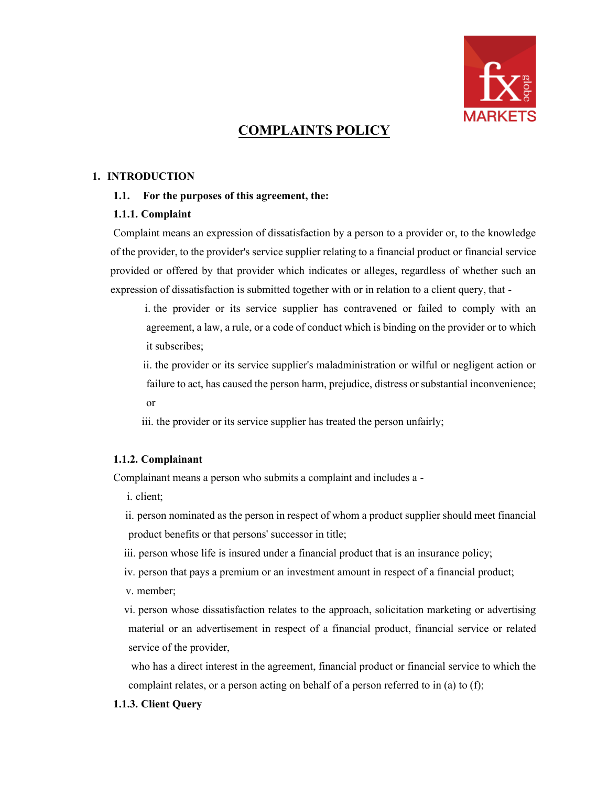

# **COMPLAINTS POLICY**

### **1. INTRODUCTION**

### **1.1. For the purposes of this agreement, the:**

### **1.1.1. Complaint**

Complaint means an expression of dissatisfaction by a person to a provider or, to the knowledge of the provider, to the provider's service supplier relating to a financial product or financial service provided or offered by that provider which indicates or alleges, regardless of whether such an expression of dissatisfaction is submitted together with or in relation to a client query, that -

i. the provider or its service supplier has contravened or failed to comply with an agreement, a law, a rule, or a code of conduct which is binding on the provider or to which it subscribes;

ii. the provider or its service supplier's maladministration or wilful or negligent action or failure to act, has caused the person harm, prejudice, distress or substantial inconvenience; or

iii. the provider or its service supplier has treated the person unfairly;

### **1.1.2. Complainant**

Complainant means a person who submits a complaint and includes a -

- i. client;
- ii. person nominated as the person in respect of whom a product supplier should meet financial product benefits or that persons' successor in title;
- iii. person whose life is insured under a financial product that is an insurance policy;
- iv. person that pays a premium or an investment amount in respect of a financial product;
- v. member;

vi. person whose dissatisfaction relates to the approach, solicitation marketing or advertising material or an advertisement in respect of a financial product, financial service or related service of the provider,

who has a direct interest in the agreement, financial product or financial service to which the complaint relates, or a person acting on behalf of a person referred to in (a) to (f);

### **1.1.3. Client Query**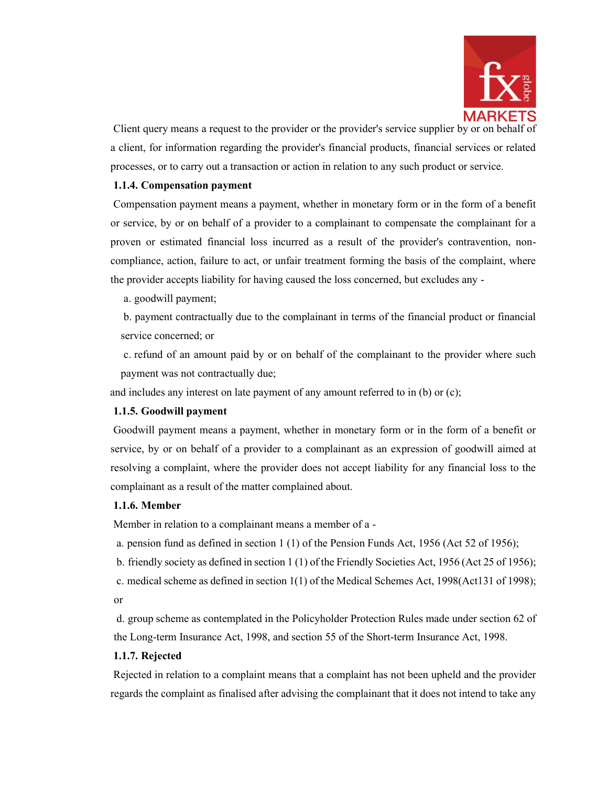

Client query means a request to the provider or the provider's service supplier by or on behalf of a client, for information regarding the provider's financial products, financial services or related processes, or to carry out a transaction or action in relation to any such product or service.

### **1.1.4. Compensation payment**

Compensation payment means a payment, whether in monetary form or in the form of a benefit or service, by or on behalf of a provider to a complainant to compensate the complainant for a proven or estimated financial loss incurred as a result of the provider's contravention, noncompliance, action, failure to act, or unfair treatment forming the basis of the complaint, where the provider accepts liability for having caused the loss concerned, but excludes any -

a. goodwill payment;

b. payment contractually due to the complainant in terms of the financial product or financial service concerned; or

c. refund of an amount paid by or on behalf of the complainant to the provider where such payment was not contractually due;

and includes any interest on late payment of any amount referred to in (b) or (c);

## **1.1.5. Goodwill payment**

Goodwill payment means a payment, whether in monetary form or in the form of a benefit or service, by or on behalf of a provider to a complainant as an expression of goodwill aimed at resolving a complaint, where the provider does not accept liability for any financial loss to the complainant as a result of the matter complained about.

## **1.1.6. Member**

Member in relation to a complainant means a member of a -

- a. pension fund as defined in section 1 (1) of the Pension Funds Act, 1956 (Act 52 of 1956);
- b. friendly society as defined in section 1 (1) of the Friendly Societies Act, 1956 (Act 25 of 1956);
- c. medical scheme as defined in section 1(1) of the Medical Schemes Act, 1998(Act131 of 1998); or

d. group scheme as contemplated in the Policyholder Protection Rules made under section 62 of the Long-term Insurance Act, 1998, and section 55 of the Short-term Insurance Act, 1998.

## **1.1.7. Rejected**

Rejected in relation to a complaint means that a complaint has not been upheld and the provider regards the complaint as finalised after advising the complainant that it does not intend to take any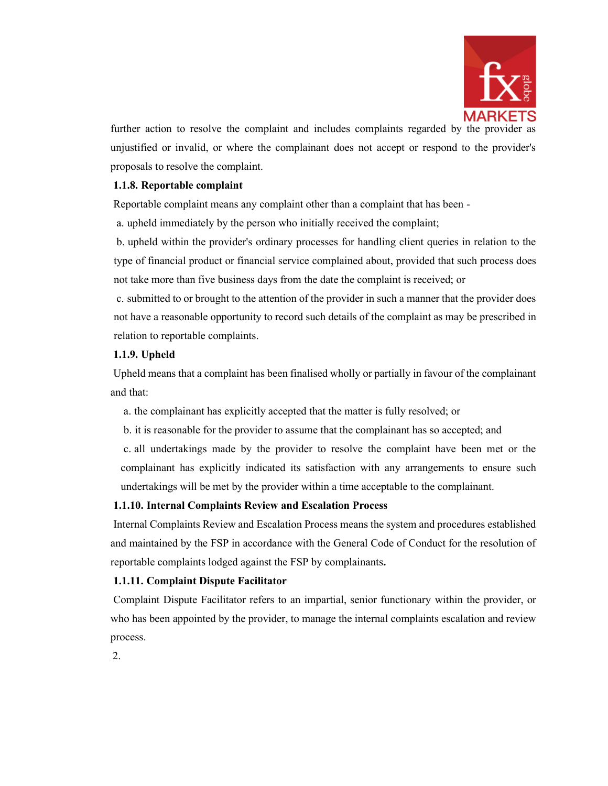

further action to resolve the complaint and includes complaints regarded by the provider as unjustified or invalid, or where the complainant does not accept or respond to the provider's proposals to resolve the complaint.

### **1.1.8. Reportable complaint**

Reportable complaint means any complaint other than a complaint that has been -

a. upheld immediately by the person who initially received the complaint;

b. upheld within the provider's ordinary processes for handling client queries in relation to the type of financial product or financial service complained about, provided that such process does not take more than five business days from the date the complaint is received; or

c. submitted to or brought to the attention of the provider in such a manner that the provider does not have a reasonable opportunity to record such details of the complaint as may be prescribed in relation to reportable complaints.

### **1.1.9. Upheld**

Upheld means that a complaint has been finalised wholly or partially in favour of the complainant and that:

a. the complainant has explicitly accepted that the matter is fully resolved; or

b. it is reasonable for the provider to assume that the complainant has so accepted; and

c. all undertakings made by the provider to resolve the complaint have been met or the complainant has explicitly indicated its satisfaction with any arrangements to ensure such undertakings will be met by the provider within a time acceptable to the complainant.

#### **1.1.10. Internal Complaints Review and Escalation Process**

Internal Complaints Review and Escalation Process means the system and procedures established and maintained by the FSP in accordance with the General Code of Conduct for the resolution of reportable complaints lodged against the FSP by complainants**.**

### **1.1.11. Complaint Dispute Facilitator**

Complaint Dispute Facilitator refers to an impartial, senior functionary within the provider, or who has been appointed by the provider, to manage the internal complaints escalation and review process.

2.